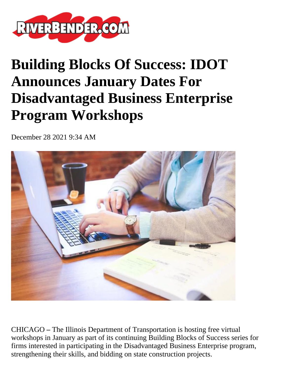

## **Building Blocks Of Success: IDOT Announces January Dates For Disadvantaged Business Enterprise Program Workshops**

December 28 2021 9:34 AM



CHICAGO **–** The Illinois Department of Transportation is hosting free virtual workshops in January as part of its continuing Building Blocks of Success series for firms interested in participating in the Disadvantaged Business Enterprise program, strengthening their skills, and bidding on state construction projects.